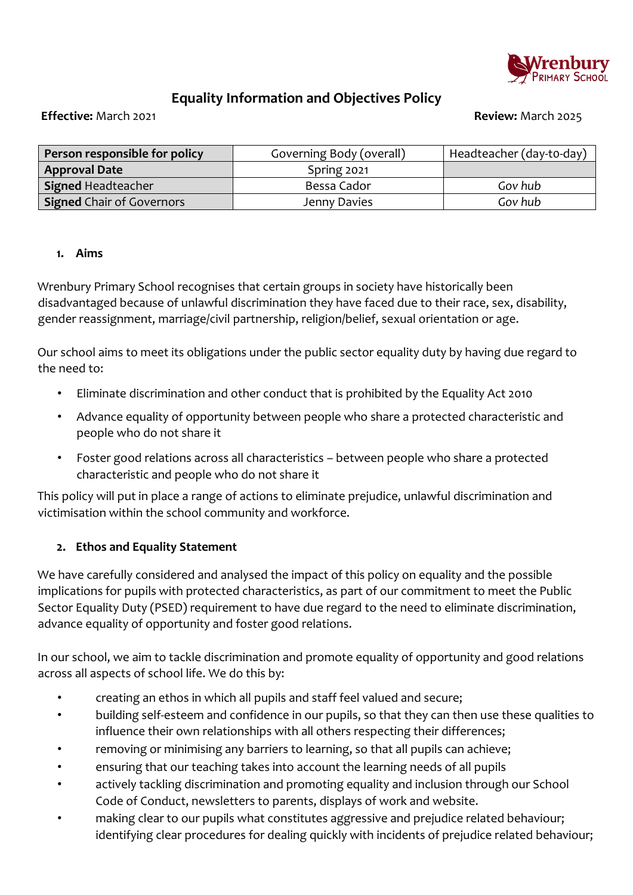

# **Equality Information and Objectives Policy**

**Effective:** March 2021 **Review:** March 2025

| Person responsible for policy | Governing Body (overall) | Headteacher (day-to-day) |
|-------------------------------|--------------------------|--------------------------|
| <b>Approval Date</b>          | Spring 2021              |                          |
| Signed Headteacher            | Bessa Cador              | Gov hub                  |
| Signed Chair of Governors     | Jenny Davies             | Gov hub                  |

#### **1. Aims**

Wrenbury Primary School recognises that certain groups in society have historically been disadvantaged because of unlawful discrimination they have faced due to their race, sex, disability, gender reassignment, marriage/civil partnership, religion/belief, sexual orientation or age.

Our school aims to meet its obligations under the public sector equality duty by having due regard to the need to:

- Eliminate discrimination and other conduct that is prohibited by the Equality Act 2010
- Advance equality of opportunity between people who share a protected characteristic and people who do not share it
- Foster good relations across all characteristics between people who share a protected characteristic and people who do not share it

This policy will put in place a range of actions to eliminate prejudice, unlawful discrimination and victimisation within the school community and workforce.

#### **2. Ethos and Equality Statement**

We have carefully considered and analysed the impact of this policy on equality and the possible implications for pupils with protected characteristics, as part of our commitment to meet the Public Sector Equality Duty (PSED) requirement to have due regard to the need to eliminate discrimination, advance equality of opportunity and foster good relations.

In our school, we aim to tackle discrimination and promote equality of opportunity and good relations across all aspects of school life. We do this by:

- creating an ethos in which all pupils and staff feel valued and secure;
- building self-esteem and confidence in our pupils, so that they can then use these qualities to influence their own relationships with all others respecting their differences;
- removing or minimising any barriers to learning, so that all pupils can achieve;
- ensuring that our teaching takes into account the learning needs of all pupils
- actively tackling discrimination and promoting equality and inclusion through our School Code of Conduct, newsletters to parents, displays of work and website.
- making clear to our pupils what constitutes aggressive and prejudice related behaviour; identifying clear procedures for dealing quickly with incidents of prejudice related behaviour;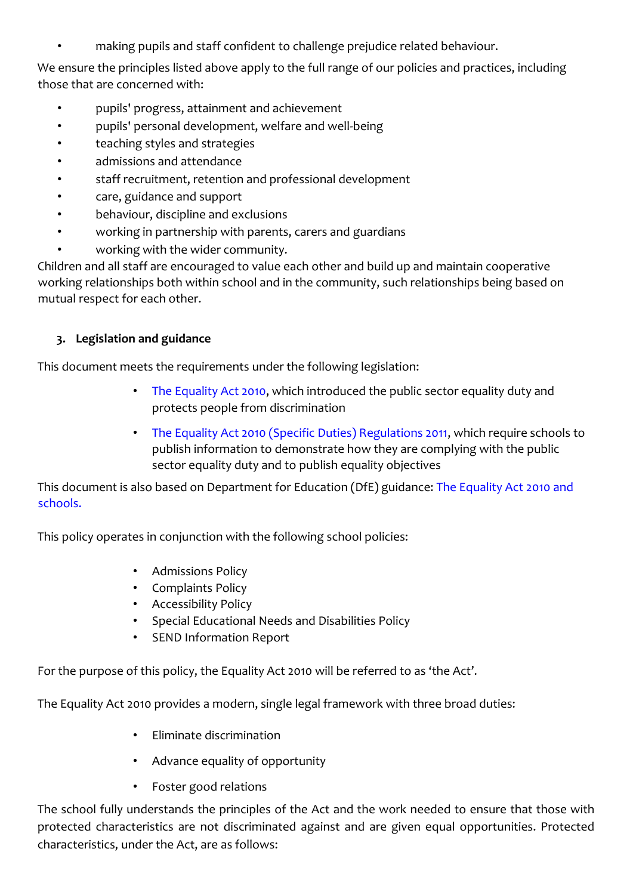• making pupils and staff confident to challenge prejudice related behaviour.

We ensure the principles listed above apply to the full range of our policies and practices, including those that are concerned with:

- pupils' progress, attainment and achievement
- pupils' personal development, welfare and well-being
- teaching styles and strategies
- admissions and attendance
- staff recruitment, retention and professional development
- care, guidance and support
- behaviour, discipline and exclusions
- working in partnership with parents, carers and guardians
- working with the wider community.

Children and all staff are encouraged to value each other and build up and maintain cooperative working relationships both within school and in the community, such relationships being based on mutual respect for each other.

## **3. Legislation and guidance**

This document meets the requirements under the following legislation:

- [The Equality Act 2010,](http://www.legislation.gov.uk/ukpga/2010/15/contents) which introduced the public sector equality duty and protects people from discrimination
- [The Equality Act 2010 \(Specific Duties\) Regulations 2011,](http://www.legislation.gov.uk/uksi/2011/2260/contents/made) which require schools to publish information to demonstrate how they are complying with the public sector equality duty and to publish equality objectives

This document is also based on Department for Education (DfE) guidance: [The Equality Act 2010 and](https://www.gov.uk/government/uploads/system/uploads/attachment_data/file/315587/Equality_Act_Advice_Final.pdf) [schools.](https://www.gov.uk/government/uploads/system/uploads/attachment_data/file/315587/Equality_Act_Advice_Final.pdf) 

This policy operates in conjunction with the following school policies:

- Admissions Policy
- Complaints Policy
- Accessibility Policy
- Special Educational Needs and Disabilities Policy
- SEND Information Report

For the purpose of this policy, the Equality Act 2010 will be referred to as 'the Act'.

The Equality Act 2010 provides a modern, single legal framework with three broad duties:

- Eliminate discrimination
- Advance equality of opportunity
- Foster good relations

The school fully understands the principles of the Act and the work needed to ensure that those with protected characteristics are not discriminated against and are given equal opportunities. Protected characteristics, under the Act, are as follows: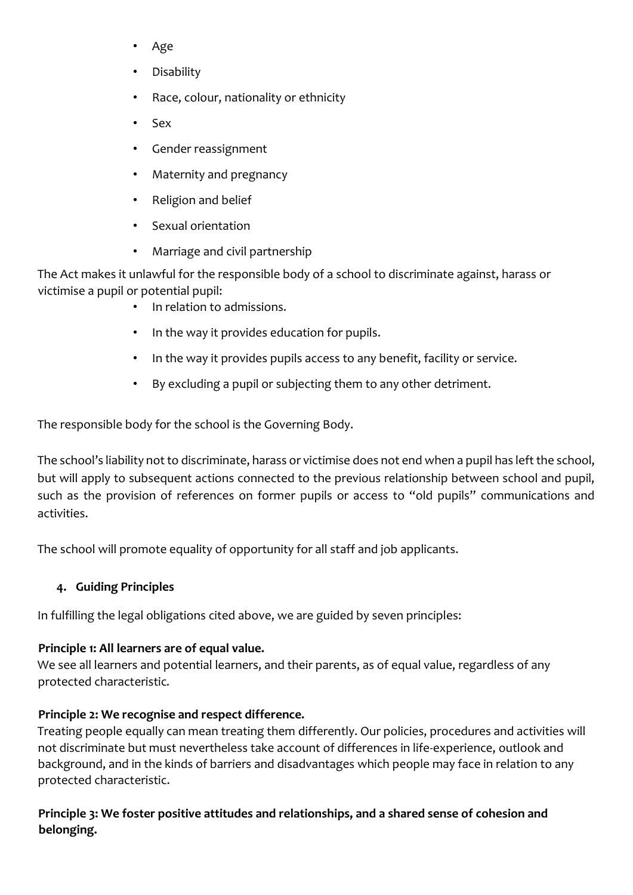- Age
- Disability
- Race, colour, nationality or ethnicity
- Sex
- Gender reassignment
- Maternity and pregnancy
- Religion and belief
- Sexual orientation
- Marriage and civil partnership

The Act makes it unlawful for the responsible body of a school to discriminate against, harass or victimise a pupil or potential pupil:

- In relation to admissions.
- In the way it provides education for pupils.
- In the way it provides pupils access to any benefit, facility or service.
- By excluding a pupil or subjecting them to any other detriment.

The responsible body for the school is the Governing Body.

The school's liability not to discriminate, harass or victimise does not end when a pupil has left the school, but will apply to subsequent actions connected to the previous relationship between school and pupil, such as the provision of references on former pupils or access to "old pupils" communications and activities.

The school will promote equality of opportunity for all staff and job applicants.

## **4. Guiding Principles**

In fulfilling the legal obligations cited above, we are guided by seven principles:

## **Principle 1: All learners are of equal value.**

We see all learners and potential learners, and their parents, as of equal value, regardless of any protected characteristic*.* 

## **Principle 2: We recognise and respect difference.**

Treating people equally can mean treating them differently. Our policies, procedures and activities will not discriminate but must nevertheless take account of differences in life-experience, outlook and background, and in the kinds of barriers and disadvantages which people may face in relation to any protected characteristic.

## **Principle 3: We foster positive attitudes and relationships, and a shared sense of cohesion and belonging.**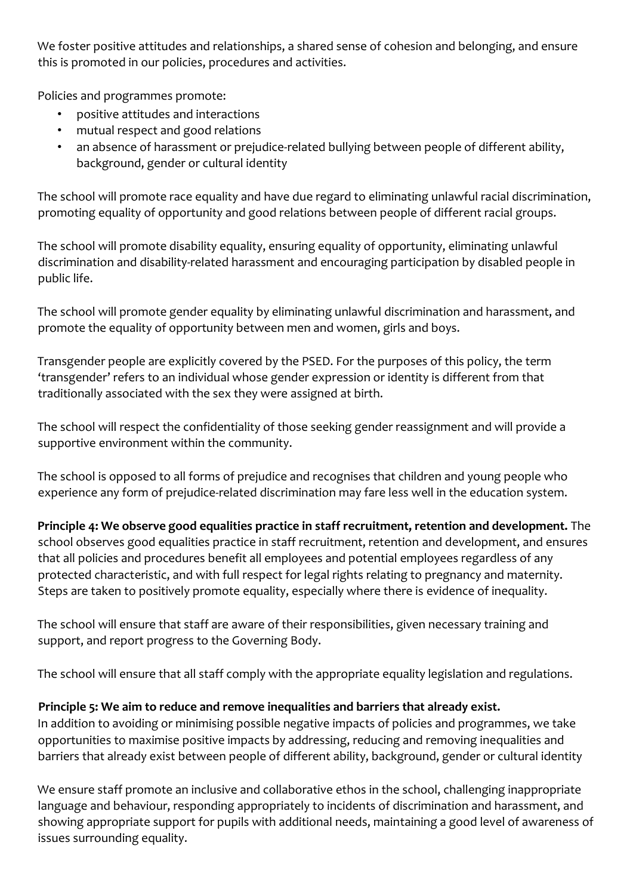We foster positive attitudes and relationships, a shared sense of cohesion and belonging, and ensure this is promoted in our policies, procedures and activities.

Policies and programmes promote:

- positive attitudes and interactions
- mutual respect and good relations
- an absence of harassment or prejudice-related bullying between people of different ability, background, gender or cultural identity

The school will promote race equality and have due regard to eliminating unlawful racial discrimination, promoting equality of opportunity and good relations between people of different racial groups.

The school will promote disability equality, ensuring equality of opportunity, eliminating unlawful discrimination and disability-related harassment and encouraging participation by disabled people in public life.

The school will promote gender equality by eliminating unlawful discrimination and harassment, and promote the equality of opportunity between men and women, girls and boys.

Transgender people are explicitly covered by the PSED. For the purposes of this policy, the term 'transgender' refers to an individual whose gender expression or identity is different from that traditionally associated with the sex they were assigned at birth.

The school will respect the confidentiality of those seeking gender reassignment and will provide a supportive environment within the community.

The school is opposed to all forms of prejudice and recognises that children and young people who experience any form of prejudice-related discrimination may fare less well in the education system.

**Principle 4: We observe good equalities practice in staff recruitment, retention and development.** The school observes good equalities practice in staff recruitment, retention and development, and ensures that all policies and procedures benefit all employees and potential employees regardless of any protected characteristic, and with full respect for legal rights relating to pregnancy and maternity. Steps are taken to positively promote equality, especially where there is evidence of inequality.

The school will ensure that staff are aware of their responsibilities, given necessary training and support, and report progress to the Governing Body.

The school will ensure that all staff comply with the appropriate equality legislation and regulations.

# **Principle 5: We aim to reduce and remove inequalities and barriers that already exist.**

In addition to avoiding or minimising possible negative impacts of policies and programmes, we take opportunities to maximise positive impacts by addressing, reducing and removing inequalities and barriers that already exist between people of different ability, background, gender or cultural identity

We ensure staff promote an inclusive and collaborative ethos in the school, challenging inappropriate language and behaviour, responding appropriately to incidents of discrimination and harassment, and showing appropriate support for pupils with additional needs, maintaining a good level of awareness of issues surrounding equality.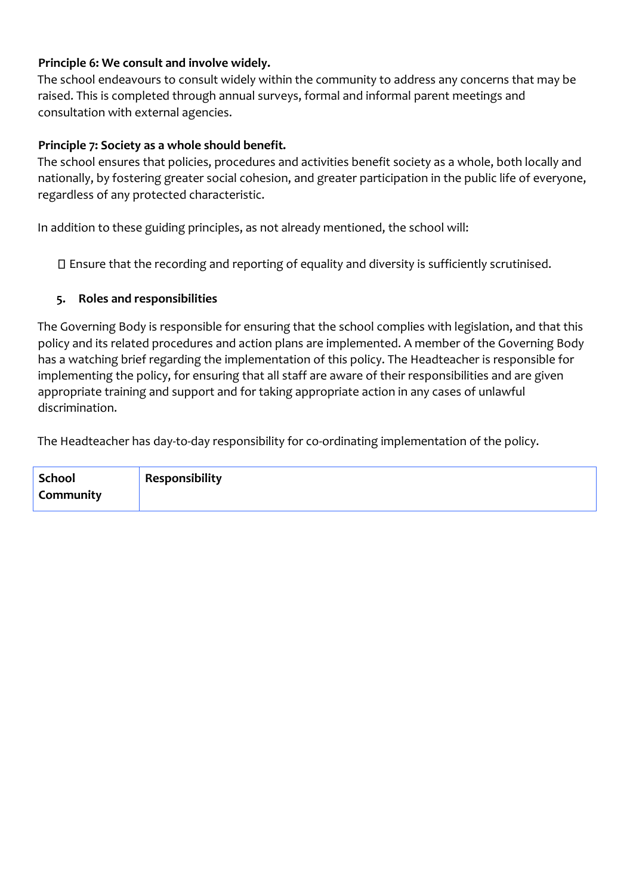## **Principle 6: We consult and involve widely.**

The school endeavours to consult widely within the community to address any concerns that may be raised. This is completed through annual surveys, formal and informal parent meetings and consultation with external agencies.

#### **Principle 7: Society as a whole should benefit.**

The school ensures that policies, procedures and activities benefit society as a whole, both locally and nationally, by fostering greater social cohesion, and greater participation in the public life of everyone, regardless of any protected characteristic.

In addition to these guiding principles, as not already mentioned, the school will:

Ensure that the recording and reporting of equality and diversity is sufficiently scrutinised.

#### **5. Roles and responsibilities**

The Governing Body is responsible for ensuring that the school complies with legislation, and that this policy and its related procedures and action plans are implemented. A member of the Governing Body has a watching brief regarding the implementation of this policy. The Headteacher is responsible for implementing the policy, for ensuring that all staff are aware of their responsibilities and are given appropriate training and support and for taking appropriate action in any cases of unlawful discrimination.

The Headteacher has day-to-day responsibility for co-ordinating implementation of the policy.

| School    | Responsibility |
|-----------|----------------|
| Community |                |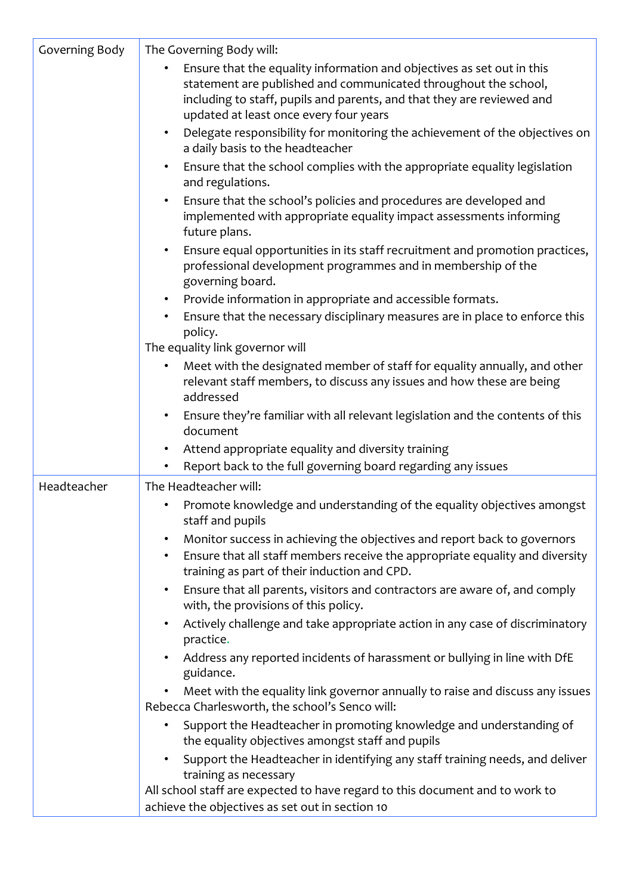| Governing Body | The Governing Body will:                                                                                                                                                                                                                                      |
|----------------|---------------------------------------------------------------------------------------------------------------------------------------------------------------------------------------------------------------------------------------------------------------|
|                | Ensure that the equality information and objectives as set out in this<br>statement are published and communicated throughout the school,<br>including to staff, pupils and parents, and that they are reviewed and<br>updated at least once every four years |
|                | Delegate responsibility for monitoring the achievement of the objectives on<br>$\bullet$<br>a daily basis to the headteacher                                                                                                                                  |
|                | Ensure that the school complies with the appropriate equality legislation<br>$\bullet$<br>and regulations.                                                                                                                                                    |
|                | Ensure that the school's policies and procedures are developed and<br>$\bullet$<br>implemented with appropriate equality impact assessments informing<br>future plans.                                                                                        |
|                | Ensure equal opportunities in its staff recruitment and promotion practices,<br>$\bullet$<br>professional development programmes and in membership of the<br>governing board.                                                                                 |
|                | Provide information in appropriate and accessible formats.<br>$\bullet$                                                                                                                                                                                       |
|                | Ensure that the necessary disciplinary measures are in place to enforce this<br>policy.                                                                                                                                                                       |
|                | The equality link governor will                                                                                                                                                                                                                               |
|                | Meet with the designated member of staff for equality annually, and other<br>$\bullet$<br>relevant staff members, to discuss any issues and how these are being<br>addressed                                                                                  |
|                | Ensure they're familiar with all relevant legislation and the contents of this<br>$\bullet$<br>document                                                                                                                                                       |
|                | Attend appropriate equality and diversity training<br>$\bullet$                                                                                                                                                                                               |
|                | Report back to the full governing board regarding any issues                                                                                                                                                                                                  |
| Headteacher    | The Headteacher will:                                                                                                                                                                                                                                         |
|                | Promote knowledge and understanding of the equality objectives amongst<br>staff and pupils                                                                                                                                                                    |
|                | Monitor success in achieving the objectives and report back to governors<br>$\bullet$                                                                                                                                                                         |
|                | Ensure that all staff members receive the appropriate equality and diversity<br>$\bullet$<br>training as part of their induction and CPD.                                                                                                                     |
|                | Ensure that all parents, visitors and contractors are aware of, and comply<br>٠<br>with, the provisions of this policy.                                                                                                                                       |
|                | Actively challenge and take appropriate action in any case of discriminatory<br>practice.                                                                                                                                                                     |
|                | Address any reported incidents of harassment or bullying in line with DfE<br>guidance.                                                                                                                                                                        |
|                | Meet with the equality link governor annually to raise and discuss any issues<br>Rebecca Charlesworth, the school's Senco will:                                                                                                                               |
|                | Support the Headteacher in promoting knowledge and understanding of<br>the equality objectives amongst staff and pupils                                                                                                                                       |
|                | Support the Headteacher in identifying any staff training needs, and deliver<br>training as necessary                                                                                                                                                         |
|                | All school staff are expected to have regard to this document and to work to                                                                                                                                                                                  |
|                | achieve the objectives as set out in section 10                                                                                                                                                                                                               |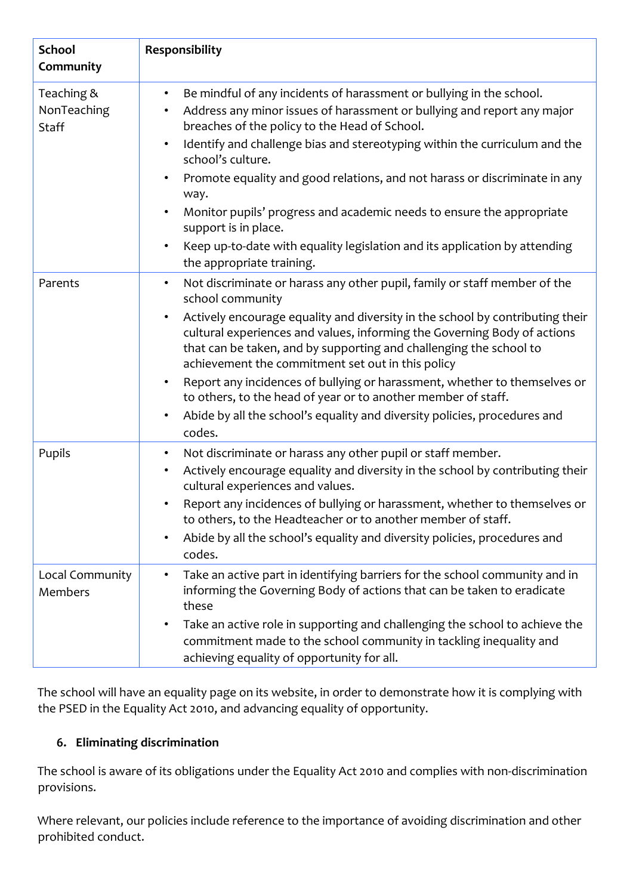| <b>School</b>                             | Responsibility                                                                                                                                                                                                                                                                                                                                                                                                                                                                                                                                                                                                  |
|-------------------------------------------|-----------------------------------------------------------------------------------------------------------------------------------------------------------------------------------------------------------------------------------------------------------------------------------------------------------------------------------------------------------------------------------------------------------------------------------------------------------------------------------------------------------------------------------------------------------------------------------------------------------------|
| Community                                 |                                                                                                                                                                                                                                                                                                                                                                                                                                                                                                                                                                                                                 |
| Teaching &<br>NonTeaching<br><b>Staff</b> | Be mindful of any incidents of harassment or bullying in the school.<br>$\bullet$<br>Address any minor issues of harassment or bullying and report any major<br>breaches of the policy to the Head of School.<br>Identify and challenge bias and stereotyping within the curriculum and the<br>$\bullet$<br>school's culture.<br>Promote equality and good relations, and not harass or discriminate in any<br>way.<br>Monitor pupils' progress and academic needs to ensure the appropriate<br>support is in place.<br>Keep up-to-date with equality legislation and its application by attending<br>$\bullet$ |
|                                           | the appropriate training.                                                                                                                                                                                                                                                                                                                                                                                                                                                                                                                                                                                       |
| Parents                                   | Not discriminate or harass any other pupil, family or staff member of the<br>$\bullet$<br>school community                                                                                                                                                                                                                                                                                                                                                                                                                                                                                                      |
|                                           | Actively encourage equality and diversity in the school by contributing their<br>$\bullet$<br>cultural experiences and values, informing the Governing Body of actions<br>that can be taken, and by supporting and challenging the school to<br>achievement the commitment set out in this policy                                                                                                                                                                                                                                                                                                               |
|                                           | Report any incidences of bullying or harassment, whether to themselves or<br>$\bullet$<br>to others, to the head of year or to another member of staff.                                                                                                                                                                                                                                                                                                                                                                                                                                                         |
|                                           | Abide by all the school's equality and diversity policies, procedures and<br>codes.                                                                                                                                                                                                                                                                                                                                                                                                                                                                                                                             |
| Pupils                                    | Not discriminate or harass any other pupil or staff member.<br>$\bullet$                                                                                                                                                                                                                                                                                                                                                                                                                                                                                                                                        |
|                                           | Actively encourage equality and diversity in the school by contributing their<br>$\bullet$<br>cultural experiences and values.                                                                                                                                                                                                                                                                                                                                                                                                                                                                                  |
|                                           | Report any incidences of bullying or harassment, whether to themselves or<br>to others, to the Headteacher or to another member of staff.                                                                                                                                                                                                                                                                                                                                                                                                                                                                       |
|                                           | Abide by all the school's equality and diversity policies, procedures and<br>codes.                                                                                                                                                                                                                                                                                                                                                                                                                                                                                                                             |
| Local Community<br>Members                | Take an active part in identifying barriers for the school community and in<br>informing the Governing Body of actions that can be taken to eradicate<br>these                                                                                                                                                                                                                                                                                                                                                                                                                                                  |
|                                           | Take an active role in supporting and challenging the school to achieve the<br>٠<br>commitment made to the school community in tackling inequality and<br>achieving equality of opportunity for all.                                                                                                                                                                                                                                                                                                                                                                                                            |

The school will have an equality page on its website, in order to demonstrate how it is complying with the PSED in the Equality Act 2010, and advancing equality of opportunity.

# **6. Eliminating discrimination**

The school is aware of its obligations under the Equality Act 2010 and complies with non-discrimination provisions.

Where relevant, our policies include reference to the importance of avoiding discrimination and other prohibited conduct.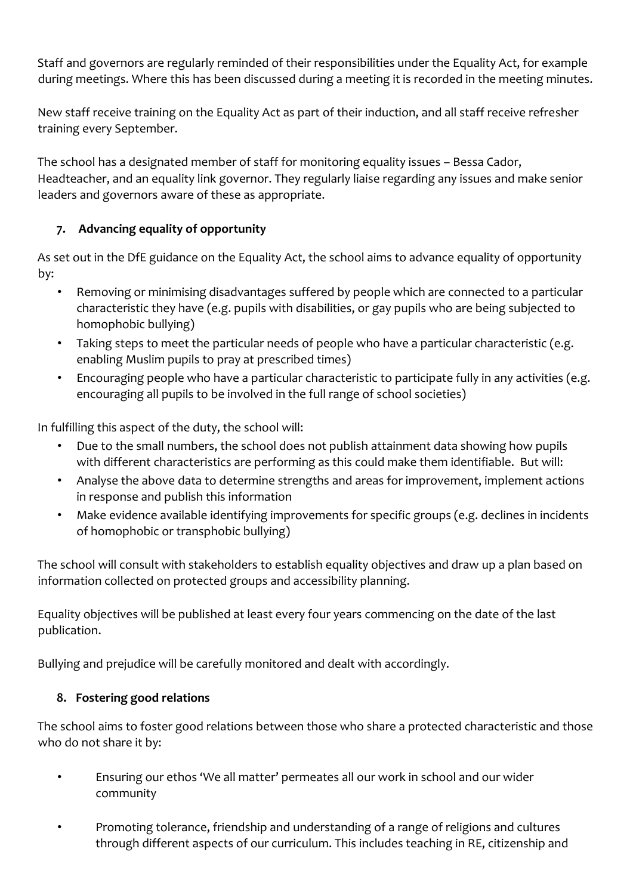Staff and governors are regularly reminded of their responsibilities under the Equality Act, for example during meetings. Where this has been discussed during a meeting it is recorded in the meeting minutes.

New staff receive training on the Equality Act as part of their induction, and all staff receive refresher training every September.

The school has a designated member of staff for monitoring equality issues – Bessa Cador, Headteacher, and an equality link governor. They regularly liaise regarding any issues and make senior leaders and governors aware of these as appropriate.

# **7. Advancing equality of opportunity**

As set out in the DfE guidance on the Equality Act, the school aims to advance equality of opportunity by:

- Removing or minimising disadvantages suffered by people which are connected to a particular characteristic they have (e.g. pupils with disabilities, or gay pupils who are being subjected to homophobic bullying)
- Taking steps to meet the particular needs of people who have a particular characteristic (e.g. enabling Muslim pupils to pray at prescribed times)
- Encouraging people who have a particular characteristic to participate fully in any activities (e.g. encouraging all pupils to be involved in the full range of school societies)

In fulfilling this aspect of the duty, the school will:

- Due to the small numbers, the school does not publish attainment data showing how pupils with different characteristics are performing as this could make them identifiable. But will:
- Analyse the above data to determine strengths and areas for improvement, implement actions in response and publish this information
- Make evidence available identifying improvements for specific groups (e.g. declines in incidents of homophobic or transphobic bullying)

The school will consult with stakeholders to establish equality objectives and draw up a plan based on information collected on protected groups and accessibility planning.

Equality objectives will be published at least every four years commencing on the date of the last publication.

Bullying and prejudice will be carefully monitored and dealt with accordingly.

# **8. Fostering good relations**

The school aims to foster good relations between those who share a protected characteristic and those who do not share it by:

- Ensuring our ethos 'We all matter' permeates all our work in school and our wider community
- Promoting tolerance, friendship and understanding of a range of religions and cultures through different aspects of our curriculum. This includes teaching in RE, citizenship and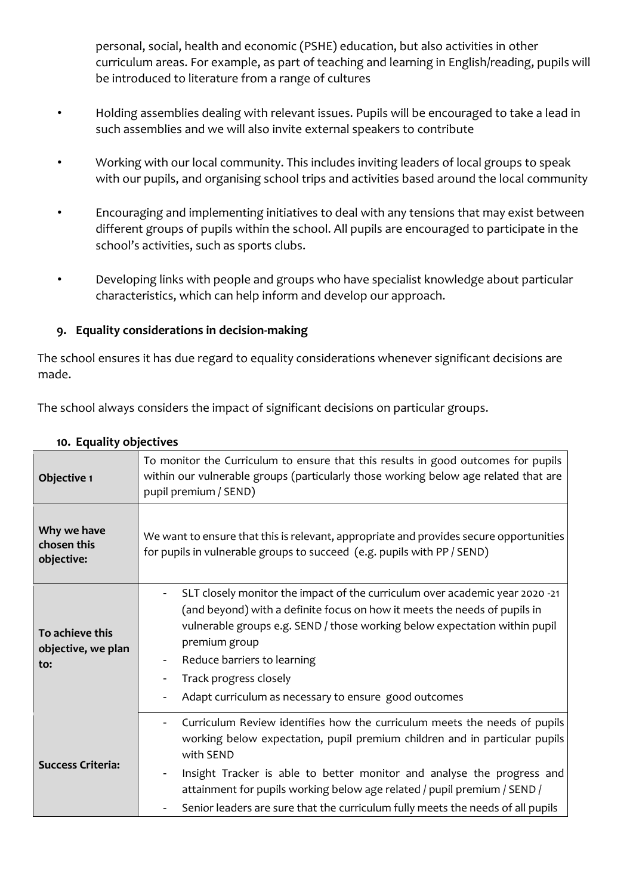personal, social, health and economic (PSHE) education, but also activities in other curriculum areas. For example, as part of teaching and learning in English/reading, pupils will be introduced to literature from a range of cultures

- Holding assemblies dealing with relevant issues. Pupils will be encouraged to take a lead in such assemblies and we will also invite external speakers to contribute
- Working with our local community. This includes inviting leaders of local groups to speak with our pupils, and organising school trips and activities based around the local community
- Encouraging and implementing initiatives to deal with any tensions that may exist between different groups of pupils within the school. All pupils are encouraged to participate in the school's activities, such as sports clubs.
- Developing links with people and groups who have specialist knowledge about particular characteristics, which can help inform and develop our approach.

## **9. Equality considerations in decision-making**

The school ensures it has due regard to equality considerations whenever significant decisions are made.

The school always considers the impact of significant decisions on particular groups.

| Objective 1                                  | To monitor the Curriculum to ensure that this results in good outcomes for pupils<br>within our vulnerable groups (particularly those working below age related that are<br>pupil premium / SEND)                                                                                                                                                                                                             |
|----------------------------------------------|---------------------------------------------------------------------------------------------------------------------------------------------------------------------------------------------------------------------------------------------------------------------------------------------------------------------------------------------------------------------------------------------------------------|
| Why we have<br>chosen this<br>objective:     | We want to ensure that this is relevant, appropriate and provides secure opportunities<br>for pupils in vulnerable groups to succeed (e.g. pupils with PP / SEND)                                                                                                                                                                                                                                             |
| To achieve this<br>objective, we plan<br>to: | SLT closely monitor the impact of the curriculum over academic year 2020 -21<br>(and beyond) with a definite focus on how it meets the needs of pupils in<br>vulnerable groups e.g. SEND / those working below expectation within pupil<br>premium group<br>Reduce barriers to learning<br>Track progress closely<br>Adapt curriculum as necessary to ensure good outcomes                                    |
| <b>Success Criteria:</b>                     | Curriculum Review identifies how the curriculum meets the needs of pupils<br>working below expectation, pupil premium children and in particular pupils<br>with SEND<br>Insight Tracker is able to better monitor and analyse the progress and<br>attainment for pupils working below age related / pupil premium / SEND /<br>Senior leaders are sure that the curriculum fully meets the needs of all pupils |

### **10. Equality objectives**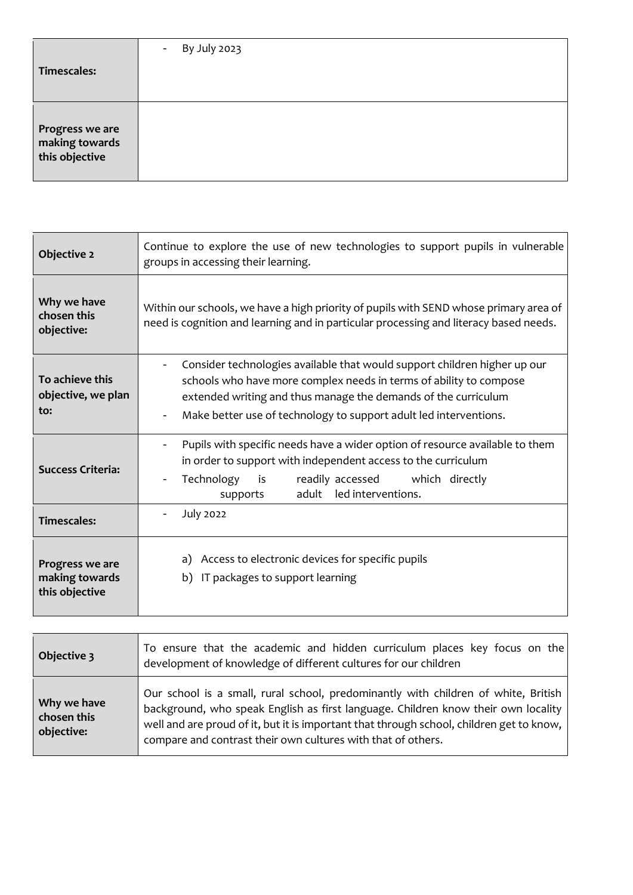| Timescales:                                         | By July 2023<br>$\sim$ |
|-----------------------------------------------------|------------------------|
| Progress we are<br>making towards<br>this objective |                        |

| Objective 2                                         | Continue to explore the use of new technologies to support pupils in vulnerable<br>groups in accessing their learning.                                                                                                                                                                 |
|-----------------------------------------------------|----------------------------------------------------------------------------------------------------------------------------------------------------------------------------------------------------------------------------------------------------------------------------------------|
| Why we have<br>chosen this<br>objective:            | Within our schools, we have a high priority of pupils with SEND whose primary area of<br>need is cognition and learning and in particular processing and literacy based needs.                                                                                                         |
| To achieve this<br>objective, we plan<br>to:        | Consider technologies available that would support children higher up our<br>schools who have more complex needs in terms of ability to compose<br>extended writing and thus manage the demands of the curriculum<br>Make better use of technology to support adult led interventions. |
| <b>Success Criteria:</b>                            | Pupils with specific needs have a wider option of resource available to them<br>$\overline{\phantom{a}}$<br>in order to support with independent access to the curriculum<br>Technology<br>is<br>readily accessed<br>which directly<br>adult led interventions.<br>supports            |
| <b>Timescales:</b>                                  | <b>July 2022</b>                                                                                                                                                                                                                                                                       |
| Progress we are<br>making towards<br>this objective | a) Access to electronic devices for specific pupils<br>b) IT packages to support learning                                                                                                                                                                                              |

| Objective 3                              | To ensure that the academic and hidden curriculum places key focus on the<br>development of knowledge of different cultures for our children                                                                                                                                                                                        |
|------------------------------------------|-------------------------------------------------------------------------------------------------------------------------------------------------------------------------------------------------------------------------------------------------------------------------------------------------------------------------------------|
| Why we have<br>chosen this<br>objective: | Our school is a small, rural school, predominantly with children of white, British<br>background, who speak English as first language. Children know their own locality<br>well and are proud of it, but it is important that through school, children get to know,<br>compare and contrast their own cultures with that of others. |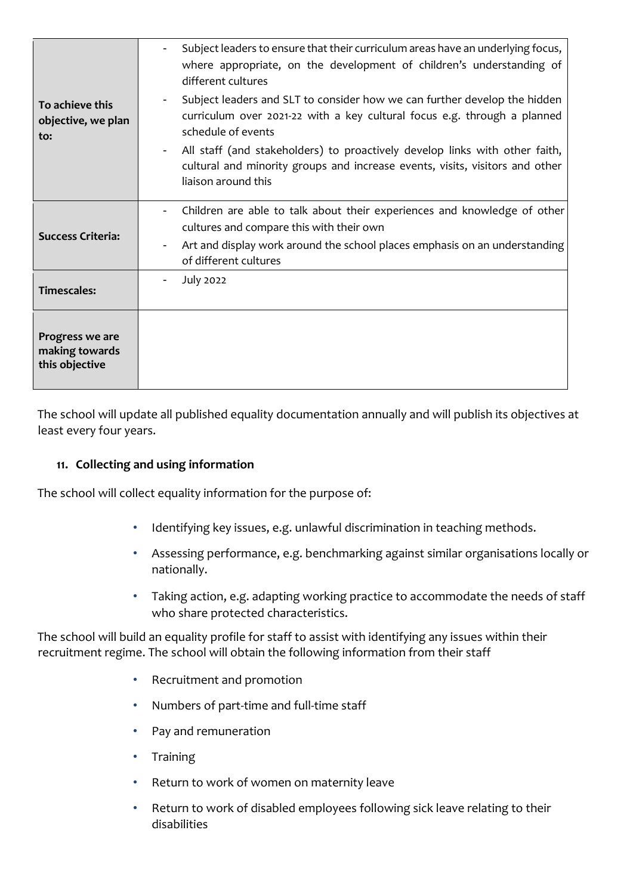| To achieve this<br>objective, we plan<br>to:        | Subject leaders to ensure that their curriculum areas have an underlying focus,<br>where appropriate, on the development of children's understanding of<br>different cultures<br>Subject leaders and SLT to consider how we can further develop the hidden<br>$\blacksquare$<br>curriculum over 2021-22 with a key cultural focus e.g. through a planned<br>schedule of events<br>All staff (and stakeholders) to proactively develop links with other faith,<br>cultural and minority groups and increase events, visits, visitors and other<br>liaison around this |
|-----------------------------------------------------|----------------------------------------------------------------------------------------------------------------------------------------------------------------------------------------------------------------------------------------------------------------------------------------------------------------------------------------------------------------------------------------------------------------------------------------------------------------------------------------------------------------------------------------------------------------------|
| <b>Success Criteria:</b>                            | Children are able to talk about their experiences and knowledge of other<br>cultures and compare this with their own<br>Art and display work around the school places emphasis on an understanding<br>$\overline{\phantom{a}}$<br>of different cultures                                                                                                                                                                                                                                                                                                              |
| <b>Timescales:</b>                                  | July 2022                                                                                                                                                                                                                                                                                                                                                                                                                                                                                                                                                            |
| Progress we are<br>making towards<br>this objective |                                                                                                                                                                                                                                                                                                                                                                                                                                                                                                                                                                      |

The school will update all published equality documentation annually and will publish its objectives at least every four years.

## **11. Collecting and using information**

The school will collect equality information for the purpose of:

- Identifying key issues, e.g. unlawful discrimination in teaching methods.
- Assessing performance, e.g. benchmarking against similar organisations locally or nationally.
- Taking action, e.g. adapting working practice to accommodate the needs of staff who share protected characteristics.

The school will build an equality profile for staff to assist with identifying any issues within their recruitment regime. The school will obtain the following information from their staff

- Recruitment and promotion
- Numbers of part-time and full-time staff
- Pay and remuneration
- Training
- Return to work of women on maternity leave
- Return to work of disabled employees following sick leave relating to their disabilities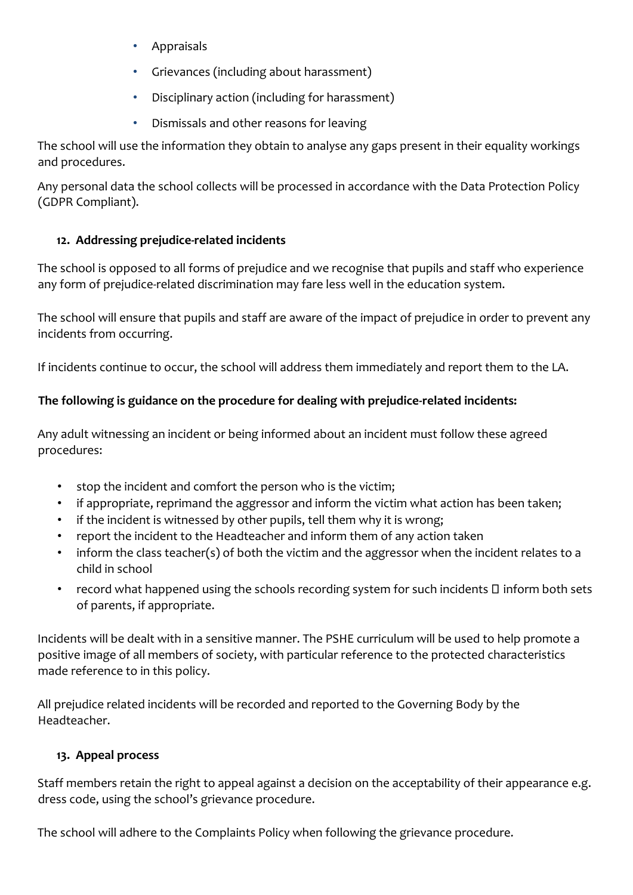- Appraisals
- Grievances (including about harassment)
- Disciplinary action (including for harassment)
- Dismissals and other reasons for leaving

The school will use the information they obtain to analyse any gaps present in their equality workings and procedures.

Any personal data the school collects will be processed in accordance with the Data Protection Policy (GDPR Compliant).

# **12. Addressing prejudice-related incidents**

The school is opposed to all forms of prejudice and we recognise that pupils and staff who experience any form of prejudice-related discrimination may fare less well in the education system.

The school will ensure that pupils and staff are aware of the impact of prejudice in order to prevent any incidents from occurring.

If incidents continue to occur, the school will address them immediately and report them to the LA.

# **The following is guidance on the procedure for dealing with prejudice-related incidents:**

Any adult witnessing an incident or being informed about an incident must follow these agreed procedures:

- stop the incident and comfort the person who is the victim;
- if appropriate, reprimand the aggressor and inform the victim what action has been taken;
- if the incident is witnessed by other pupils, tell them why it is wrong;
- report the incident to the Headteacher and inform them of any action taken
- inform the class teacher(s) of both the victim and the aggressor when the incident relates to a child in school
- record what happened using the schools recording system for such incidents  $\square$  inform both sets of parents, if appropriate.

Incidents will be dealt with in a sensitive manner. The PSHE curriculum will be used to help promote a positive image of all members of society, with particular reference to the protected characteristics made reference to in this policy.

All prejudice related incidents will be recorded and reported to the Governing Body by the Headteacher.

# **13. Appeal process**

Staff members retain the right to appeal against a decision on the acceptability of their appearance e.g. dress code, using the school's grievance procedure.

The school will adhere to the Complaints Policy when following the grievance procedure.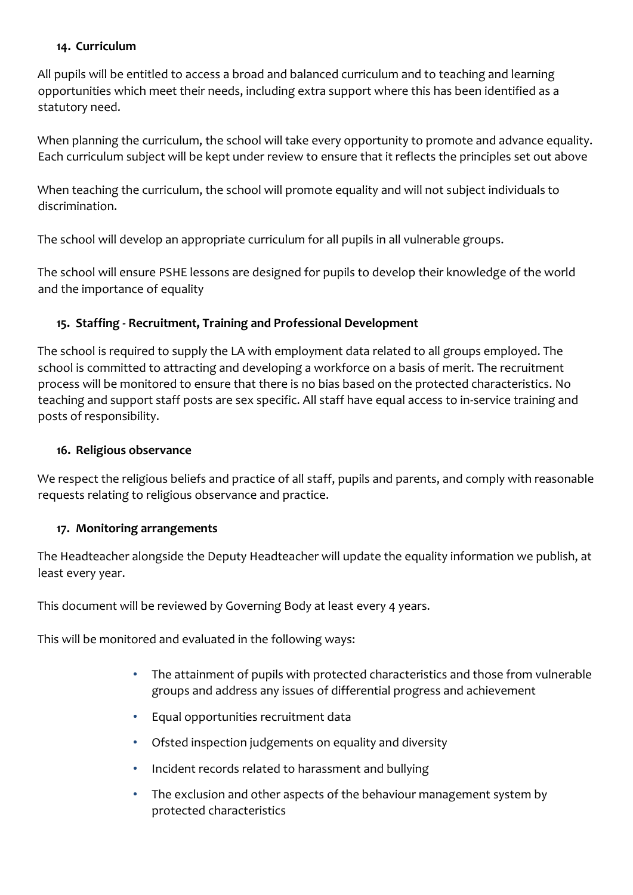#### **14. Curriculum**

All pupils will be entitled to access a broad and balanced curriculum and to teaching and learning opportunities which meet their needs, including extra support where this has been identified as a statutory need.

When planning the curriculum, the school will take every opportunity to promote and advance equality. Each curriculum subject will be kept under review to ensure that it reflects the principles set out above

When teaching the curriculum, the school will promote equality and will not subject individuals to discrimination.

The school will develop an appropriate curriculum for all pupils in all vulnerable groups.

The school will ensure PSHE lessons are designed for pupils to develop their knowledge of the world and the importance of equality

## **15. Staffing - Recruitment, Training and Professional Development**

The school is required to supply the LA with employment data related to all groups employed. The school is committed to attracting and developing a workforce on a basis of merit. The recruitment process will be monitored to ensure that there is no bias based on the protected characteristics. No teaching and support staff posts are sex specific. All staff have equal access to in-service training and posts of responsibility.

#### **16. Religious observance**

We respect the religious beliefs and practice of all staff, pupils and parents, and comply with reasonable requests relating to religious observance and practice.

## **17. Monitoring arrangements**

The Headteacher alongside the Deputy Headteacher will update the equality information we publish, at least every year.

This document will be reviewed by Governing Body at least every 4 years.

This will be monitored and evaluated in the following ways:

- The attainment of pupils with protected characteristics and those from vulnerable groups and address any issues of differential progress and achievement
- Equal opportunities recruitment data
- Ofsted inspection judgements on equality and diversity
- Incident records related to harassment and bullying
- The exclusion and other aspects of the behaviour management system by protected characteristics